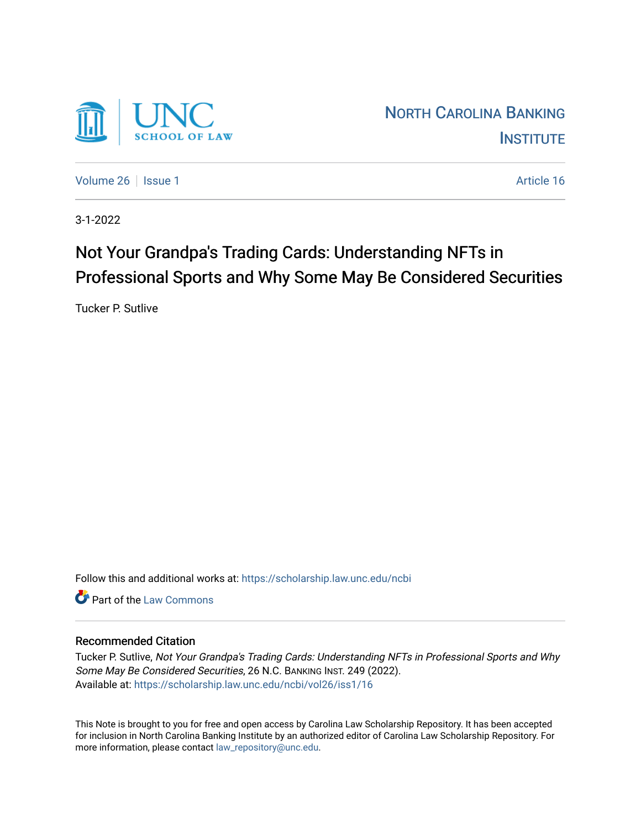

[Volume 26](https://scholarship.law.unc.edu/ncbi/vol26) | [Issue 1](https://scholarship.law.unc.edu/ncbi/vol26/iss1) Article 16

3-1-2022

# Not Your Grandpa's Trading Cards: Understanding NFTs in Professional Sports and Why Some May Be Considered Securities

Tucker P. Sutlive

Follow this and additional works at: [https://scholarship.law.unc.edu/ncbi](https://scholarship.law.unc.edu/ncbi?utm_source=scholarship.law.unc.edu%2Fncbi%2Fvol26%2Fiss1%2F16&utm_medium=PDF&utm_campaign=PDFCoverPages)

**C** Part of the [Law Commons](https://network.bepress.com/hgg/discipline/578?utm_source=scholarship.law.unc.edu%2Fncbi%2Fvol26%2Fiss1%2F16&utm_medium=PDF&utm_campaign=PDFCoverPages)

# Recommended Citation

Tucker P. Sutlive, Not Your Grandpa's Trading Cards: Understanding NFTs in Professional Sports and Why Some May Be Considered Securities, 26 N.C. BANKING INST. 249 (2022). Available at: [https://scholarship.law.unc.edu/ncbi/vol26/iss1/16](https://scholarship.law.unc.edu/ncbi/vol26/iss1/16?utm_source=scholarship.law.unc.edu%2Fncbi%2Fvol26%2Fiss1%2F16&utm_medium=PDF&utm_campaign=PDFCoverPages) 

This Note is brought to you for free and open access by Carolina Law Scholarship Repository. It has been accepted for inclusion in North Carolina Banking Institute by an authorized editor of Carolina Law Scholarship Repository. For more information, please contact [law\\_repository@unc.edu](mailto:law_repository@unc.edu).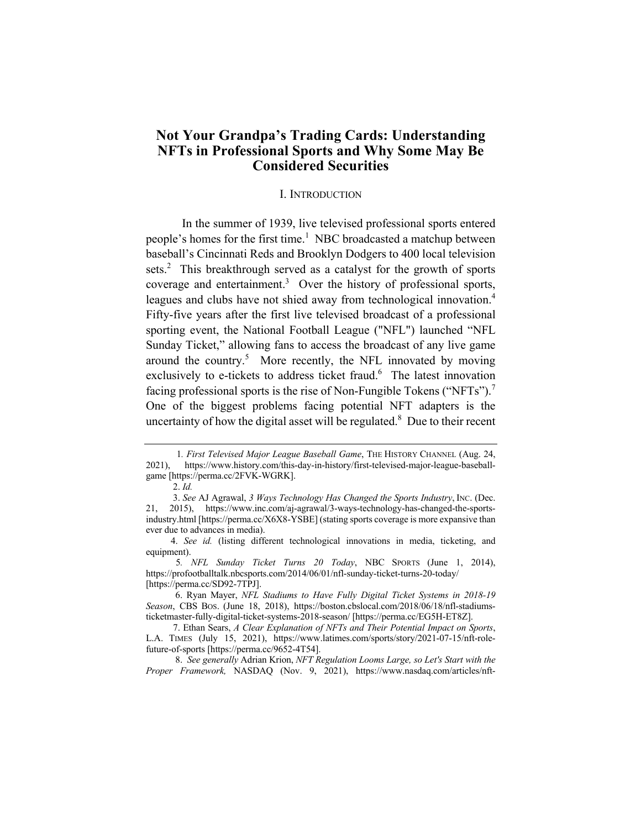# **Not Your Grandpa's Trading Cards: Understanding NFTs in Professional Sports and Why Some May Be Considered Securities**

#### I. INTRODUCTION

 In the summer of 1939, live televised professional sports entered people's homes for the first time.<sup>1</sup> NBC broadcasted a matchup between baseball's Cincinnati Reds and Brooklyn Dodgers to 400 local television sets.<sup>2</sup> This breakthrough served as a catalyst for the growth of sports coverage and entertainment. $3$  Over the history of professional sports, leagues and clubs have not shied away from technological innovation.<sup>4</sup> Fifty-five years after the first live televised broadcast of a professional sporting event, the National Football League ("NFL") launched "NFL Sunday Ticket," allowing fans to access the broadcast of any live game around the country.<sup>5</sup> More recently, the NFL innovated by moving exclusively to e-tickets to address ticket fraud.<sup>6</sup> The latest innovation facing professional sports is the rise of Non-Fungible Tokens ("NFTs").<sup>7</sup> One of the biggest problems facing potential NFT adapters is the uncertainty of how the digital asset will be regulated. $8$  Due to their recent

1*. First Televised Major League Baseball Game*, THE HISTORY CHANNEL (Aug. 24, 2021), https://www.history.com/this-day-in-history/first-televised-major-league-baseballgame [https://perma.cc/2FVK-WGRK].

 <sup>2.</sup> *Id.*

 <sup>3.</sup> *See* AJ Agrawal, *3 Ways Technology Has Changed the Sports Industry*, INC. (Dec. 21, 2015), https://www.inc.com/aj-agrawal/3-ways-technology-has-changed-the-sportsindustry.html [https://perma.cc/X6X8-YSBE] (stating sports coverage is more expansive than ever due to advances in media).

 <sup>4.</sup> *See id.* (listing different technological innovations in media, ticketing, and equipment).

5*. NFL Sunday Ticket Turns 20 Today*, NBC SPORTS (June 1, 2014), https://profootballtalk.nbcsports.com/2014/06/01/nfl-sunday-ticket-turns-20-today/ [https://perma.cc/SD92-7TPJ].

 <sup>6.</sup> Ryan Mayer, *NFL Stadiums to Have Fully Digital Ticket Systems in 2018-19 Season*, CBS BOS. (June 18, 2018), https://boston.cbslocal.com/2018/06/18/nfl-stadiumsticketmaster-fully-digital-ticket-systems-2018-season/ [https://perma.cc/EG5H-ET8Z].

 <sup>7.</sup> Ethan Sears, *A Clear Explanation of NFTs and Their Potential Impact on Sports*, L.A. TIMES (July 15, 2021), https://www.latimes.com/sports/story/2021-07-15/nft-rolefuture-of-sports [https://perma.cc/9652-4T54].

 <sup>8.</sup> *See generally* Adrian Krion, *NFT Regulation Looms Large, so Let's Start with the Proper Framework,* NASDAQ (Nov. 9, 2021), https://www.nasdaq.com/articles/nft-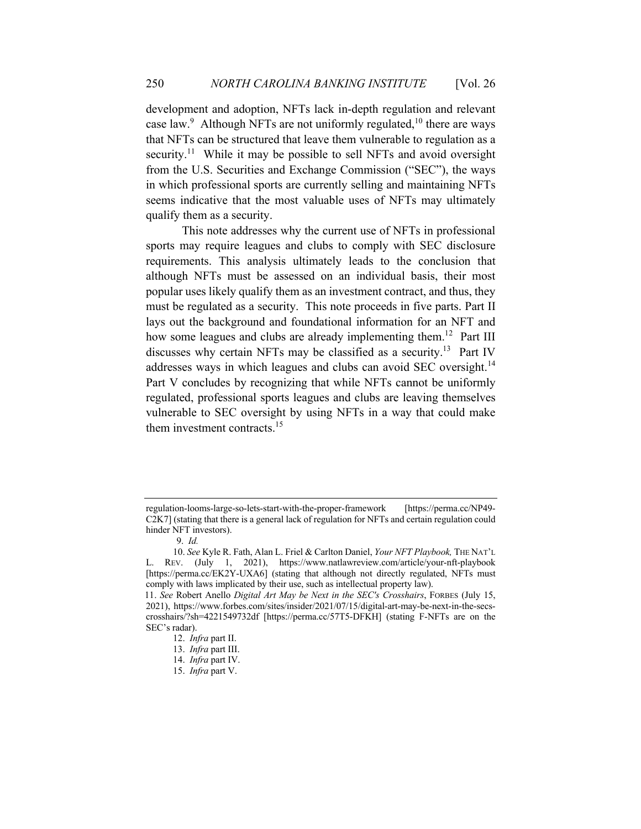development and adoption, NFTs lack in-depth regulation and relevant case law.<sup>9</sup> Although NFTs are not uniformly regulated,<sup>10</sup> there are ways that NFTs can be structured that leave them vulnerable to regulation as a security.<sup>11</sup> While it may be possible to sell NFTs and avoid oversight from the U.S. Securities and Exchange Commission ("SEC"), the ways in which professional sports are currently selling and maintaining NFTs seems indicative that the most valuable uses of NFTs may ultimately qualify them as a security.

 This note addresses why the current use of NFTs in professional sports may require leagues and clubs to comply with SEC disclosure requirements. This analysis ultimately leads to the conclusion that although NFTs must be assessed on an individual basis, their most popular uses likely qualify them as an investment contract, and thus, they must be regulated as a security. This note proceeds in five parts. Part II lays out the background and foundational information for an NFT and how some leagues and clubs are already implementing them.<sup>12</sup> Part III discusses why certain NFTs may be classified as a security.13 Part IV addresses ways in which leagues and clubs can avoid SEC oversight.<sup>14</sup> Part V concludes by recognizing that while NFTs cannot be uniformly regulated, professional sports leagues and clubs are leaving themselves vulnerable to SEC oversight by using NFTs in a way that could make them investment contracts.<sup>15</sup>

regulation-looms-large-so-lets-start-with-the-proper-framework [https://perma.cc/NP49- C2K7] (stating that there is a general lack of regulation for NFTs and certain regulation could hinder NFT investors).

 <sup>9.</sup> *Id.*

<sup>10.</sup> *See* Kyle R. Fath, Alan L. Friel & Carlton Daniel, *Your NFT Playbook,* THE NAT'L L. REV. (July 1, 2021), https://www.natlawreview.com/article/your-nft-playbook [https://perma.cc/EK2Y-UXA6] (stating that although not directly regulated, NFTs must comply with laws implicated by their use, such as intellectual property law).

<sup>11.</sup> *See* Robert Anello *Digital Art May be Next in the SEC's Crosshairs*, FORBES (July 15, 2021), https://www.forbes.com/sites/insider/2021/07/15/digital-art-may-be-next-in-the-secscrosshairs/?sh=4221549732df [https://perma.cc/57T5-DFKH] (stating F-NFTs are on the SEC's radar).

<sup>12.</sup> *Infra* part II.

<sup>13.</sup> *Infra* part III.

<sup>14.</sup> *Infra* part IV.

<sup>15.</sup> *Infra* part V.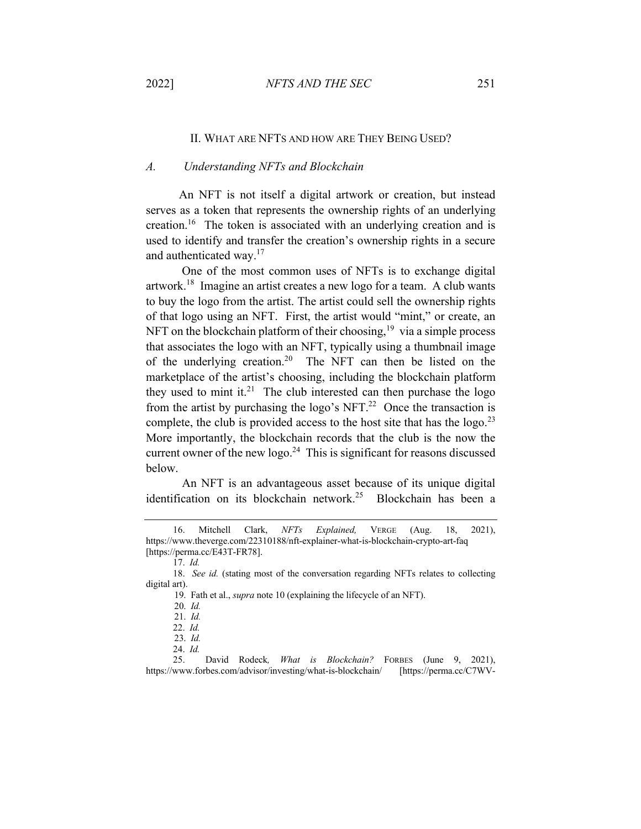#### II. WHAT ARE NFTS AND HOW ARE THEY BEING USED?

## *A. Understanding NFTs and Blockchain*

 An NFT is not itself a digital artwork or creation, but instead serves as a token that represents the ownership rights of an underlying creation.16 The token is associated with an underlying creation and is used to identify and transfer the creation's ownership rights in a secure and authenticated way.<sup>17</sup>

 One of the most common uses of NFTs is to exchange digital artwork.<sup>18</sup> Imagine an artist creates a new logo for a team. A club wants to buy the logo from the artist. The artist could sell the ownership rights of that logo using an NFT. First, the artist would "mint," or create, an NFT on the blockchain platform of their choosing,  $19$  via a simple process that associates the logo with an NFT, typically using a thumbnail image of the underlying creation.<sup>20</sup> The NFT can then be listed on the marketplace of the artist's choosing, including the blockchain platform they used to mint it.<sup>21</sup> The club interested can then purchase the logo from the artist by purchasing the logo's NFT.<sup>22</sup> Once the transaction is complete, the club is provided access to the host site that has the logo.<sup>23</sup> More importantly, the blockchain records that the club is the now the current owner of the new logo.<sup>24</sup> This is significant for reasons discussed below.

 An NFT is an advantageous asset because of its unique digital identification on its blockchain network.<sup>25</sup> Blockchain has been a

25. David Rodeck*, What is Blockchain?* FORBES (June 9, 2021), https://www.forbes.com/advisor/investing/what-is-blockchain/ [https://perma.cc/C7WV-

<sup>16.</sup> Mitchell Clark, *NFTs Explained,* VERGE (Aug. 18, 2021), https://www.theverge.com/22310188/nft-explainer-what-is-blockchain-crypto-art-faq [https://perma.cc/E43T-FR78].

<sup>17.</sup> *Id.*

<sup>18.</sup> *See id.* (stating most of the conversation regarding NFTs relates to collecting digital art).

 <sup>19.</sup> Fath et al., *supra* note 10 (explaining the lifecycle of an NFT).

 <sup>20.</sup> *Id.*

 <sup>21.</sup> *Id.* 

<sup>22.</sup> *Id.* 

 <sup>23.</sup> *Id.*

<sup>24.</sup> *Id.*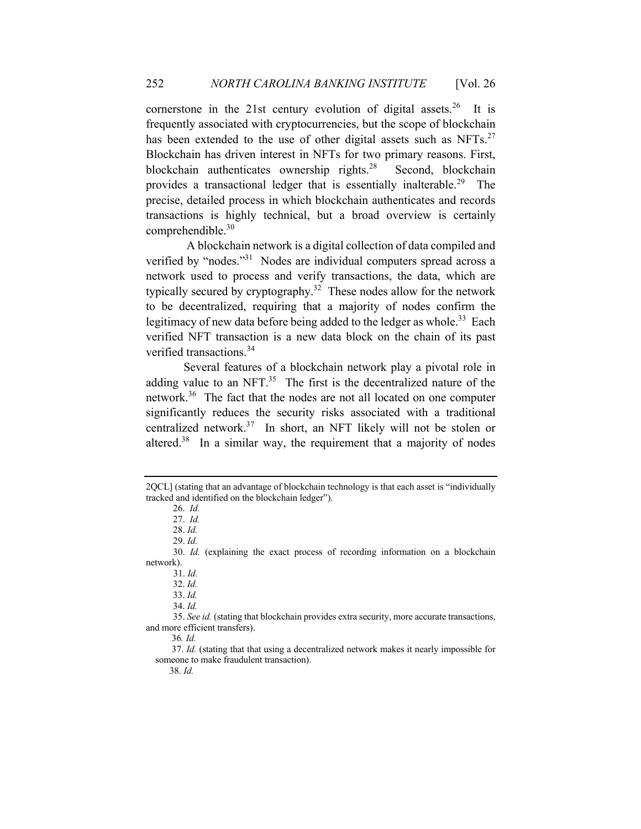cornerstone in the 21st century evolution of digital assets.<sup>26</sup> It is frequently associated with cryptocurrencies, but the scope of blockchain has been extended to the use of other digital assets such as  $NFTs$ <sup>27</sup> Blockchain has driven interest in NFTs for two primary reasons. First, blockchain authenticates ownership rights.<sup>28</sup> Second, blockchain provides a transactional ledger that is essentially inalterable.<sup>29</sup> The precise, detailed process in which blockchain authenticates and records transactions is highly technical, but a broad overview is certainly comprehendible.<sup>30</sup>

A blockchain network is a digital collection of data compiled and verified by "nodes."31 Nodes are individual computers spread across a network used to process and verify transactions, the data, which are typically secured by cryptography.<sup>32</sup> These nodes allow for the network to be decentralized, requiring that a majority of nodes confirm the legitimacy of new data before being added to the ledger as whole.<sup>33</sup> Each verified NFT transaction is a new data block on the chain of its past verified transactions.<sup>34</sup>

Several features of a blockchain network play a pivotal role in adding value to an NFT. $35$  The first is the decentralized nature of the network.36 The fact that the nodes are not all located on one computer significantly reduces the security risks associated with a traditional centralized network.37 In short, an NFT likely will not be stolen or altered.<sup>38</sup> In a similar way, the requirement that a majority of nodes

38. *Id.*

<sup>2</sup>QCL] (stating that an advantage of blockchain technology is that each asset is "individually tracked and identified on the blockchain ledger").

<sup>26.</sup> *Id.*

<sup>27.</sup> *Id.* 

<sup>28.</sup> *Id.*

<sup>29.</sup> *Id.* 

<sup>30.</sup> *Id.* (explaining the exact process of recording information on a blockchain network).

 <sup>31.</sup> *Id.*

 <sup>32.</sup> *Id.*

 <sup>33.</sup> *Id.*

 <sup>34.</sup> *Id.*

<sup>35.</sup> *See id.* (stating that blockchain provides extra security, more accurate transactions, and more efficient transfers).

36*. Id.*

 <sup>37.</sup> *Id.* (stating that that using a decentralized network makes it nearly impossible for someone to make fraudulent transaction).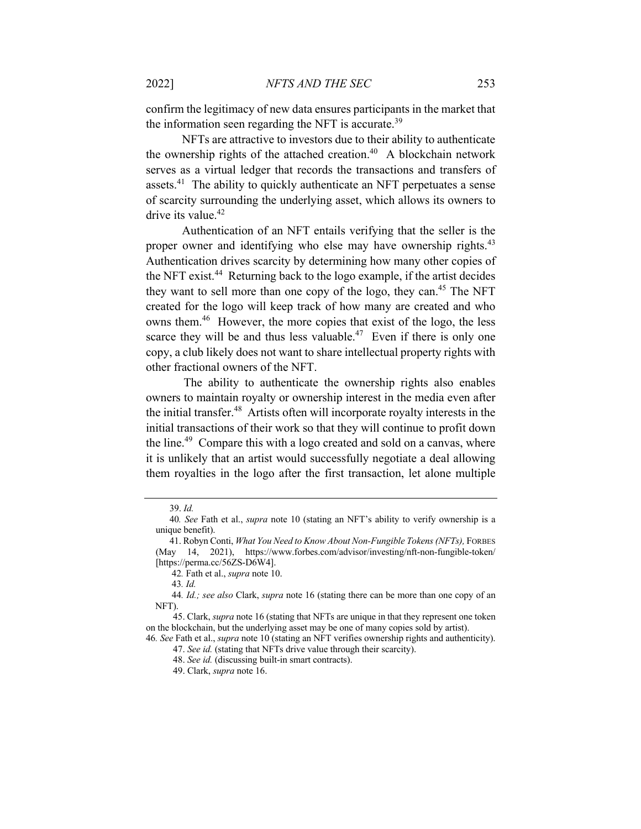confirm the legitimacy of new data ensures participants in the market that the information seen regarding the NFT is accurate.<sup>39</sup>

 NFTs are attractive to investors due to their ability to authenticate the ownership rights of the attached creation.<sup>40</sup> A blockchain network serves as a virtual ledger that records the transactions and transfers of assets.<sup>41</sup> The ability to quickly authenticate an NFT perpetuates a sense of scarcity surrounding the underlying asset, which allows its owners to drive its value.<sup>42</sup>

 Authentication of an NFT entails verifying that the seller is the proper owner and identifying who else may have ownership rights.<sup>43</sup> Authentication drives scarcity by determining how many other copies of the NFT exist.<sup>44</sup> Returning back to the logo example, if the artist decides they want to sell more than one copy of the logo, they can.<sup>45</sup> The NFT created for the logo will keep track of how many are created and who owns them.46 However, the more copies that exist of the logo, the less scarce they will be and thus less valuable.<sup>47</sup> Even if there is only one copy, a club likely does not want to share intellectual property rights with other fractional owners of the NFT.

The ability to authenticate the ownership rights also enables owners to maintain royalty or ownership interest in the media even after the initial transfer.48 Artists often will incorporate royalty interests in the initial transactions of their work so that they will continue to profit down the line.<sup>49</sup> Compare this with a logo created and sold on a canvas, where it is unlikely that an artist would successfully negotiate a deal allowing them royalties in the logo after the first transaction, let alone multiple

 <sup>39.</sup> *Id.*

40*. See* Fath et al., *supra* note 10 (stating an NFT's ability to verify ownership is a unique benefit).

 <sup>41.</sup> Robyn Conti, *What You Need to Know About Non-Fungible Tokens (NFTs),* FORBES (May 14, 2021), https://www.forbes.com/advisor/investing/nft-non-fungible-token/ [https://perma.cc/56ZS-D6W4].

42*.* Fath et al., *supra* note 10.

43*. Id.*

44*. Id.; see also* Clark, *supra* note 16 (stating there can be more than one copy of an NFT).

<sup>45.</sup> Clark, *supra* note 16 (stating that NFTs are unique in that they represent one token on the blockchain, but the underlying asset may be one of many copies sold by artist).

<sup>46</sup>*. See* Fath et al., *supra* note 10 (stating an NFT verifies ownership rights and authenticity). 47. *See id.* (stating that NFTs drive value through their scarcity).

<sup>48.</sup> *See id.* (discussing built-in smart contracts).

<sup>49.</sup> Clark, *supra* note 16.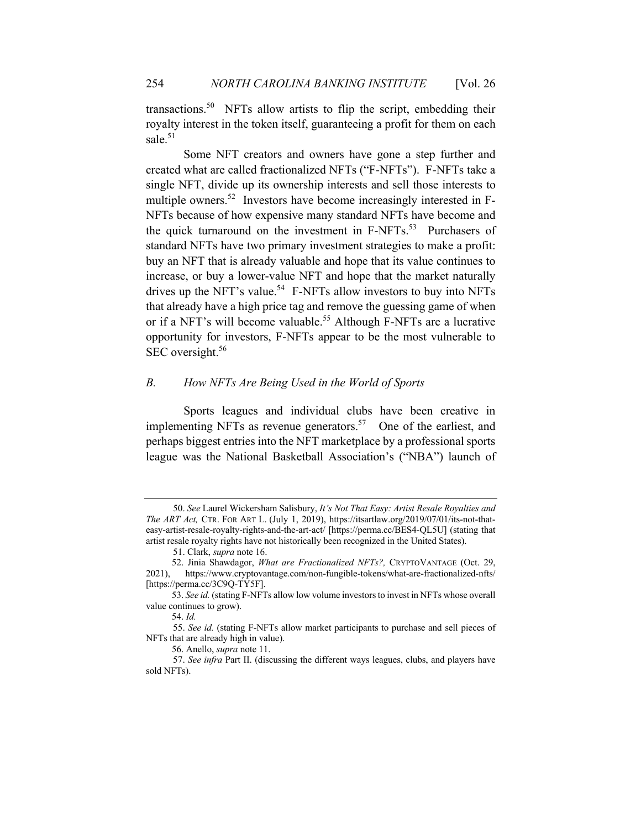transactions.<sup>50</sup> NFTs allow artists to flip the script, embedding their royalty interest in the token itself, guaranteeing a profit for them on each sale. 51

Some NFT creators and owners have gone a step further and created what are called fractionalized NFTs ("F-NFTs"). F-NFTs take a single NFT, divide up its ownership interests and sell those interests to multiple owners.<sup>52</sup> Investors have become increasingly interested in F-NFTs because of how expensive many standard NFTs have become and the quick turnaround on the investment in  $F-NFTs$ .<sup>53</sup> Purchasers of standard NFTs have two primary investment strategies to make a profit: buy an NFT that is already valuable and hope that its value continues to increase, or buy a lower-value NFT and hope that the market naturally drives up the NFT's value.<sup>54</sup> F-NFTs allow investors to buy into NFTs that already have a high price tag and remove the guessing game of when or if a NFT's will become valuable.<sup>55</sup> Although F-NFTs are a lucrative opportunity for investors, F-NFTs appear to be the most vulnerable to SEC oversight.<sup>56</sup>

## *B. How NFTs Are Being Used in the World of Sports*

Sports leagues and individual clubs have been creative in implementing NFTs as revenue generators.<sup>57</sup> One of the earliest, and perhaps biggest entries into the NFT marketplace by a professional sports league was the National Basketball Association's ("NBA") launch of

<sup>50.</sup> *See* Laurel Wickersham Salisbury, *It's Not That Easy: Artist Resale Royalties and The ART Act,* CTR. FOR ART L. (July 1, 2019), https://itsartlaw.org/2019/07/01/its-not-thateasy-artist-resale-royalty-rights-and-the-art-act/ [https://perma.cc/BES4-QL5U] (stating that artist resale royalty rights have not historically been recognized in the United States).

<sup>51.</sup> Clark, *supra* note 16.

 <sup>52.</sup> Jinia Shawdagor, *What are Fractionalized NFTs?,* CRYPTOVANTAGE (Oct. 29, 2021), https://www.cryptovantage.com/non-fungible-tokens/what-are-fractionalized-nfts/ [https://perma.cc/3C9Q-TY5F].

 <sup>53.</sup> *See id.* (stating F-NFTs allow low volume investors to invest in NFTs whose overall value continues to grow).

 <sup>54.</sup> *Id.*

<sup>55.</sup> *See id.* (stating F-NFTs allow market participants to purchase and sell pieces of NFTs that are already high in value).

 <sup>56.</sup> Anello, *supra* note 11.

<sup>57.</sup> *See infra* Part II. (discussing the different ways leagues, clubs, and players have sold NFTs).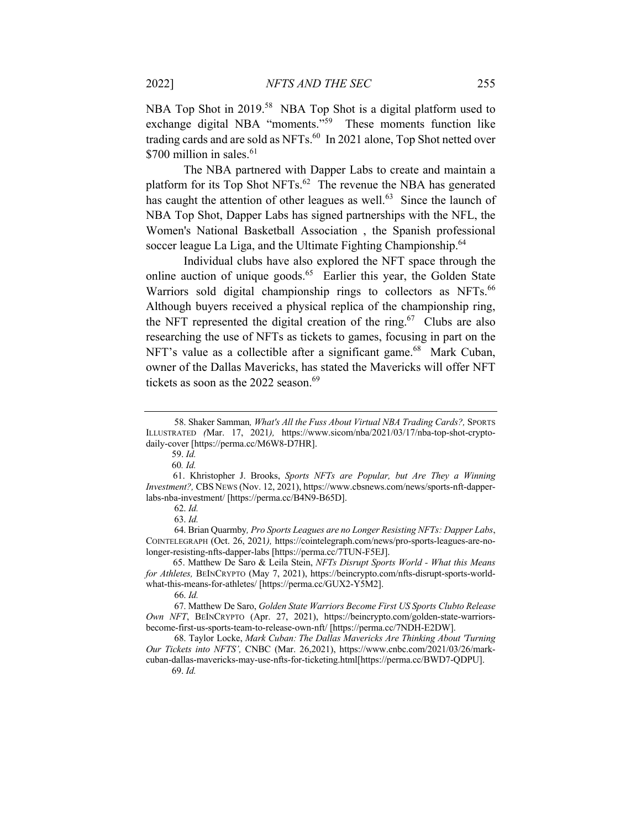NBA Top Shot in 2019.<sup>58</sup> NBA Top Shot is a digital platform used to exchange digital NBA "moments."<sup>59</sup> These moments function like trading cards and are sold as NFTs.<sup>60</sup> In 2021 alone, Top Shot netted over \$700 million in sales.<sup>61</sup>

The NBA partnered with Dapper Labs to create and maintain a platform for its Top Shot NFTs. $62$  The revenue the NBA has generated has caught the attention of other leagues as well.<sup>63</sup> Since the launch of NBA Top Shot, Dapper Labs has signed partnerships with the NFL, the Women's National Basketball Association , the Spanish professional soccer league La Liga, and the Ultimate Fighting Championship.<sup>64</sup>

Individual clubs have also explored the NFT space through the online auction of unique goods.<sup>65</sup> Earlier this year, the Golden State Warriors sold digital championship rings to collectors as NFTs.<sup>66</sup> Although buyers received a physical replica of the championship ring, the NFT represented the digital creation of the ring.<sup>67</sup> Clubs are also researching the use of NFTs as tickets to games, focusing in part on the NFT's value as a collectible after a significant game.<sup>68</sup> Mark Cuban, owner of the Dallas Mavericks, has stated the Mavericks will offer NFT tickets as soon as the  $2022$  season.<sup>69</sup>

 64. Brian Quarmby*, Pro Sports Leagues are no Longer Resisting NFTs: Dapper Labs*, COINTELEGRAPH (Oct. 26, 2021*),* https://cointelegraph.com/news/pro-sports-leagues-are-nolonger-resisting-nfts-dapper-labs [https://perma.cc/7TUN-F5EJ].

65. Matthew De Saro & Leila Stein, *NFTs Disrupt Sports World - What this Means for Athletes,* BEINCRYPTO (May 7, 2021), https://beincrypto.com/nfts-disrupt-sports-worldwhat-this-means-for-athletes/ [https://perma.cc/GUX2-Y5M2].

 <sup>58.</sup> Shaker Samman*, What's All the Fuss About Virtual NBA Trading Cards?,* SPORTS ILLUSTRATED *(*Mar. 17, 2021*),* https://www.sicom/nba/2021/03/17/nba-top-shot-cryptodaily-cover [https://perma.cc/M6W8-D7HR].

 <sup>59.</sup> *Id.*

60*. Id.*

<sup>61.</sup> Khristopher J. Brooks, *Sports NFTs are Popular, but Are They a Winning Investment?,* CBS NEWS (Nov. 12, 2021), https://www.cbsnews.com/news/sports-nft-dapperlabs-nba-investment/ [https://perma.cc/B4N9-B65D].

 <sup>62.</sup> *Id.*

 <sup>63.</sup> *Id.*

 <sup>66.</sup> *Id.*

 <sup>67.</sup> Matthew De Saro, *Golden State Warriors Become First US Sports Clubto Release Own NFT*, BEINCRYPTO (Apr. 27, 2021), https://beincrypto.com/golden-state-warriorsbecome-first-us-sports-team-to-release-own-nft/ [https://perma.cc/7NDH-E2DW].

 <sup>68.</sup> Taylor Locke, *Mark Cuban: The Dallas Mavericks Are Thinking About 'Turning Our Tickets into NFTS',* CNBC (Mar. 26,2021), https://www.cnbc.com/2021/03/26/markcuban-dallas-mavericks-may-use-nfts-for-ticketing.html[https://perma.cc/BWD7-QDPU].

 <sup>69.</sup> *Id.*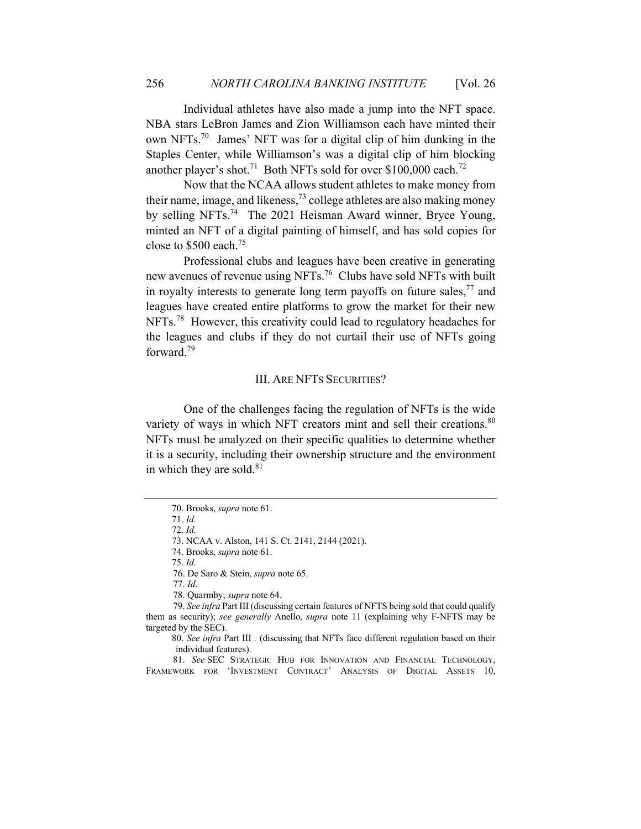Individual athletes have also made a jump into the NFT space. NBA stars LeBron James and Zion Williamson each have minted their own NFTs.70 James' NFT was for a digital clip of him dunking in the Staples Center, while Williamson's was a digital clip of him blocking another player's shot.<sup>71</sup> Both NFTs sold for over \$100,000 each.<sup>72</sup>

Now that the NCAA allows student athletes to make money from their name, image, and likeness,  $^{73}$  college athletes are also making money by selling NFTs.<sup>74</sup> The 2021 Heisman Award winner, Bryce Young, minted an NFT of a digital painting of himself, and has sold copies for close to  $$500$  each.<sup>75</sup>

Professional clubs and leagues have been creative in generating new avenues of revenue using NFTs.76 Clubs have sold NFTs with built in royalty interests to generate long term payoffs on future sales,  $77$  and leagues have created entire platforms to grow the market for their new NFTs.<sup>78</sup> However, this creativity could lead to regulatory headaches for the leagues and clubs if they do not curtail their use of NFTs going forward.<sup>79</sup>

#### III. ARE NFTS SECURITIES?

One of the challenges facing the regulation of NFTs is the wide variety of ways in which NFT creators mint and sell their creations.<sup>80</sup> NFTs must be analyzed on their specific qualities to determine whether it is a security, including their ownership structure and the environment in which they are sold. $81$ 

73. NCAA v. Alston, 141 S. Ct. 2141, 2144 (2021).

75. *Id.*

 <sup>70.</sup> Brooks, *supra* note 61.

 <sup>71.</sup> *Id.*

 <sup>72.</sup> *Id.*

 <sup>74.</sup> Brooks, *supra* note 61.

<sup>76.</sup> De Saro & Stein, *supra* note 65.

<sup>77.</sup> *Id*.

<sup>78.</sup> Quarmby, *supra* note 64.

 <sup>79.</sup> *See infra* Part III (discussing certain features of NFTS being sold that could qualify them as security); *see generally* Anello, *supra* note 11 (explaining why F-NFTS may be targeted by the SEC).

 <sup>80.</sup> *See infra* Part III *.* (discussing that NFTs face different regulation based on their individual features).

<sup>81.</sup> *See* SEC STRATEGIC HUB FOR INNOVATION AND FINANCIAL TECHNOLOGY, FRAMEWORK FOR 'INVESTMENT CONTRACT' ANALYSIS OF DIGITAL ASSETS 10,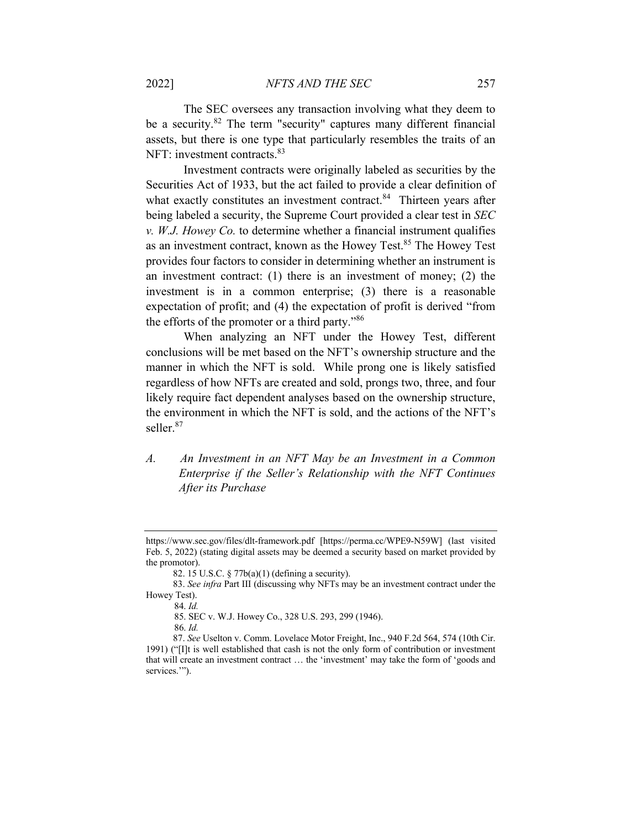The SEC oversees any transaction involving what they deem to be a security. $82$  The term "security" captures many different financial assets, but there is one type that particularly resembles the traits of an NFT: investment contracts.<sup>83</sup>

Investment contracts were originally labeled as securities by the Securities Act of 1933, but the act failed to provide a clear definition of what exactly constitutes an investment contract.<sup>84</sup> Thirteen years after being labeled a security, the Supreme Court provided a clear test in *SEC v. W.J. Howey Co.* to determine whether a financial instrument qualifies as an investment contract, known as the Howey Test.<sup>85</sup> The Howey Test provides four factors to consider in determining whether an instrument is an investment contract: (1) there is an investment of money; (2) the investment is in a common enterprise; (3) there is a reasonable expectation of profit; and (4) the expectation of profit is derived "from the efforts of the promoter or a third party."86

When analyzing an NFT under the Howey Test, different conclusions will be met based on the NFT's ownership structure and the manner in which the NFT is sold. While prong one is likely satisfied regardless of how NFTs are created and sold, prongs two, three, and four likely require fact dependent analyses based on the ownership structure, the environment in which the NFT is sold, and the actions of the NFT's seller.<sup>87</sup>

*A. An Investment in an NFT May be an Investment in a Common Enterprise if the Seller's Relationship with the NFT Continues After its Purchase*

85. SEC v. W.J. Howey Co., 328 U.S. 293, 299 (1946).

https://www.sec.gov/files/dlt-framework.pdf [https://perma.cc/WPE9-N59W] (last visited Feb. 5, 2022) (stating digital assets may be deemed a security based on market provided by the promotor).

<sup>82. 15</sup> U.S.C. § 77b(a)(1) (defining a security).

<sup>83.</sup> *See infra* Part III (discussing why NFTs may be an investment contract under the Howey Test).

 <sup>84.</sup> *Id.*

 <sup>86.</sup> *Id.* 

<sup>87.</sup> *See* Uselton v. Comm. Lovelace Motor Freight, Inc., 940 F.2d 564, 574 (10th Cir. 1991) ("[I]t is well established that cash is not the only form of contribution or investment that will create an investment contract … the 'investment' may take the form of 'goods and services."").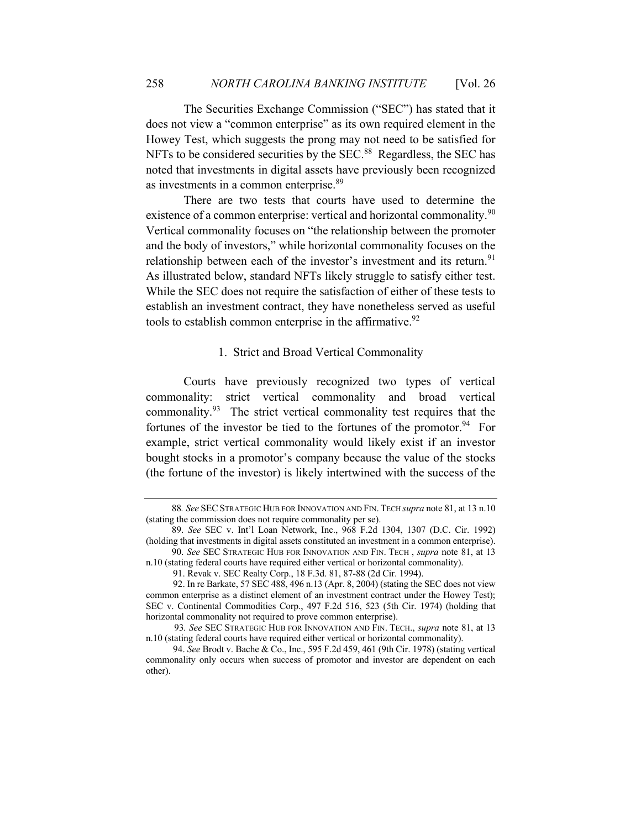The Securities Exchange Commission ("SEC") has stated that it does not view a "common enterprise" as its own required element in the Howey Test, which suggests the prong may not need to be satisfied for NFTs to be considered securities by the SEC.<sup>88</sup> Regardless, the SEC has noted that investments in digital assets have previously been recognized as investments in a common enterprise.<sup>89</sup>

There are two tests that courts have used to determine the existence of a common enterprise: vertical and horizontal commonality.<sup>90</sup> Vertical commonality focuses on "the relationship between the promoter and the body of investors," while horizontal commonality focuses on the relationship between each of the investor's investment and its return.<sup>91</sup> As illustrated below, standard NFTs likely struggle to satisfy either test. While the SEC does not require the satisfaction of either of these tests to establish an investment contract, they have nonetheless served as useful tools to establish common enterprise in the affirmative.<sup>92</sup>

## 1. Strict and Broad Vertical Commonality

Courts have previously recognized two types of vertical commonality: strict vertical commonality and broad vertical commonality.93 The strict vertical commonality test requires that the fortunes of the investor be tied to the fortunes of the promotor.<sup>94</sup> For example, strict vertical commonality would likely exist if an investor bought stocks in a promotor's company because the value of the stocks (the fortune of the investor) is likely intertwined with the success of the

88*. See*SECSTRATEGIC HUB FOR INNOVATION AND FIN. TECH *supra* note 81, at 13 n.10 (stating the commission does not require commonality per se).

 <sup>89.</sup> *See* SEC v. Int'l Loan Network, Inc., 968 F.2d 1304, 1307 (D.C. Cir. 1992) (holding that investments in digital assets constituted an investment in a common enterprise).

 <sup>90.</sup> *See* SEC STRATEGIC HUB FOR INNOVATION AND FIN. TECH , *supra* note 81, at 13 n.10 (stating federal courts have required either vertical or horizontal commonality).

<sup>91.</sup> Revak v. SEC Realty Corp., 18 F.3d. 81, 87-88 (2d Cir. 1994).

<sup>92.</sup> In re Barkate, 57 SEC 488, 496 n.13 (Apr. 8, 2004) (stating the SEC does not view common enterprise as a distinct element of an investment contract under the Howey Test); SEC v. Continental Commodities Corp., 497 F.2d 516, 523 (5th Cir. 1974) (holding that horizontal commonality not required to prove common enterprise).

93*. See* SEC STRATEGIC HUB FOR INNOVATION AND FIN. TECH., *supra* note 81, at 13 n.10 (stating federal courts have required either vertical or horizontal commonality).

<sup>94.</sup> *See* Brodt v. Bache & Co., Inc., 595 F.2d 459, 461 (9th Cir. 1978) (stating vertical commonality only occurs when success of promotor and investor are dependent on each other).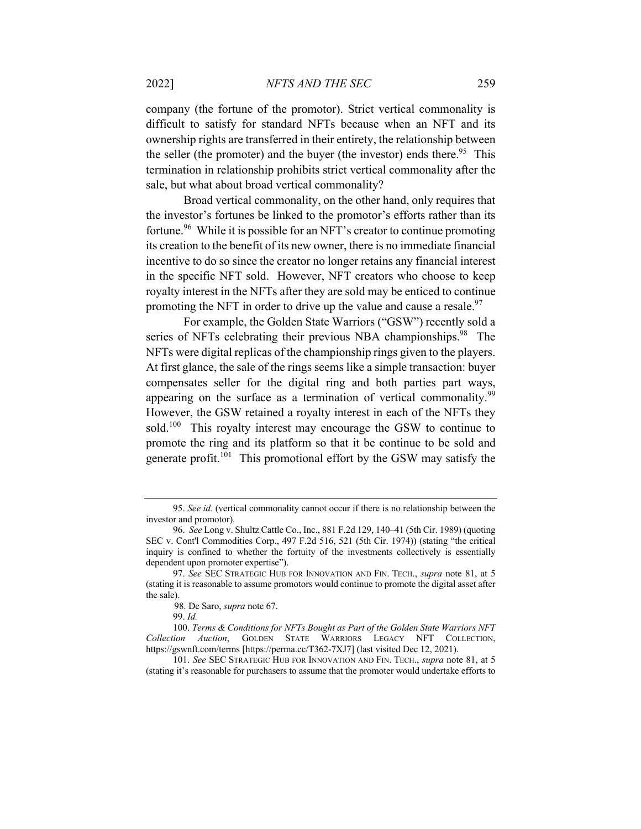company (the fortune of the promotor). Strict vertical commonality is difficult to satisfy for standard NFTs because when an NFT and its ownership rights are transferred in their entirety, the relationship between the seller (the promoter) and the buyer (the investor) ends there.<sup>95</sup> This termination in relationship prohibits strict vertical commonality after the sale, but what about broad vertical commonality?

Broad vertical commonality, on the other hand, only requires that the investor's fortunes be linked to the promotor's efforts rather than its fortune.<sup>96</sup> While it is possible for an NFT's creator to continue promoting its creation to the benefit of its new owner, there is no immediate financial incentive to do so since the creator no longer retains any financial interest in the specific NFT sold. However, NFT creators who choose to keep royalty interest in the NFTs after they are sold may be enticed to continue promoting the NFT in order to drive up the value and cause a resale. $97$ 

For example, the Golden State Warriors ("GSW") recently sold a series of NFTs celebrating their previous NBA championships.<sup>98</sup> The NFTs were digital replicas of the championship rings given to the players. At first glance, the sale of the rings seems like a simple transaction: buyer compensates seller for the digital ring and both parties part ways, appearing on the surface as a termination of vertical commonality.<sup>99</sup> However, the GSW retained a royalty interest in each of the NFTs they sold.<sup>100</sup> This royalty interest may encourage the GSW to continue to promote the ring and its platform so that it be continue to be sold and generate profit.<sup>101</sup> This promotional effort by the GSW may satisfy the

101. *See* SEC STRATEGIC HUB FOR INNOVATION AND FIN. TECH., *supra* note 81, at 5 (stating it's reasonable for purchasers to assume that the promoter would undertake efforts to

<sup>95.</sup> *See id.* (vertical commonality cannot occur if there is no relationship between the investor and promotor).

<sup>96.</sup> *See* Long v. Shultz Cattle Co., Inc., 881 F.2d 129, 140–41 (5th Cir. 1989) (quoting SEC v. Cont'l Commodities Corp., 497 F.2d 516, 521 (5th Cir. 1974)) (stating "the critical inquiry is confined to whether the fortuity of the investments collectively is essentially dependent upon promoter expertise").

<sup>97.</sup> *See* SEC STRATEGIC HUB FOR INNOVATION AND FIN. TECH., *supra* note 81, at 5 (stating it is reasonable to assume promotors would continue to promote the digital asset after the sale).

 <sup>98.</sup> De Saro, *supra* note 67.

<sup>99.</sup> *Id.*

<sup>100.</sup> *Terms & Conditions for NFTs Bought as Part of the Golden State Warriors NFT Collection Auction*, GOLDEN STATE WARRIORS LEGACY NFT COLLECTION, https://gswnft.com/terms [https://perma.cc/T362-7XJ7] (last visited Dec 12, 2021).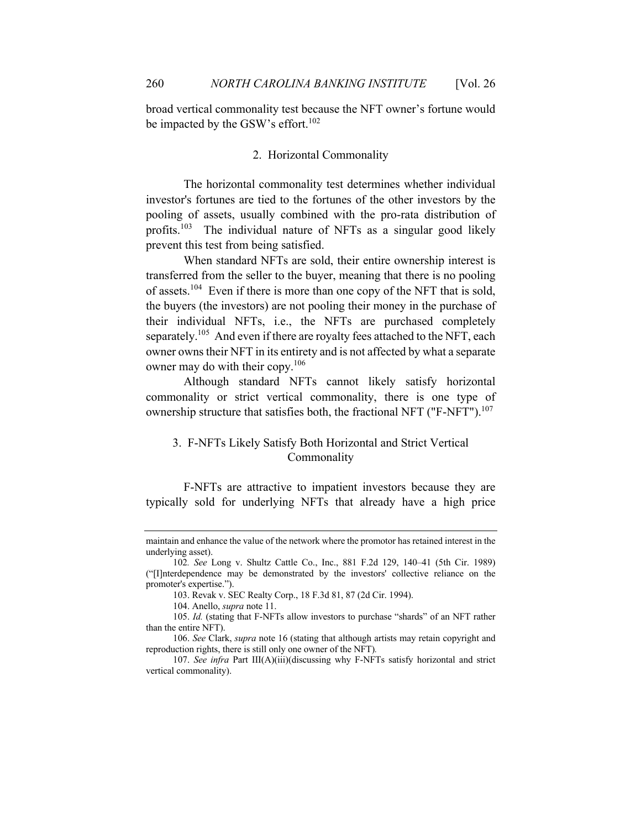broad vertical commonality test because the NFT owner's fortune would be impacted by the GSW's effort. $102$ 

## 2. Horizontal Commonality

The horizontal commonality test determines whether individual investor's fortunes are tied to the fortunes of the other investors by the pooling of assets, usually combined with the pro-rata distribution of profits.<sup>103</sup> The individual nature of NFTs as a singular good likely prevent this test from being satisfied.

When standard NFTs are sold, their entire ownership interest is transferred from the seller to the buyer, meaning that there is no pooling of assets.<sup>104</sup> Even if there is more than one copy of the NFT that is sold, the buyers (the investors) are not pooling their money in the purchase of their individual NFTs, i.e., the NFTs are purchased completely separately.<sup>105</sup> And even if there are royalty fees attached to the NFT, each owner owns their NFT in its entirety and is not affected by what a separate owner may do with their copy.<sup>106</sup>

Although standard NFTs cannot likely satisfy horizontal commonality or strict vertical commonality, there is one type of ownership structure that satisfies both, the fractional NFT ("F-NFT").<sup>107</sup>

# 3. F-NFTs Likely Satisfy Both Horizontal and Strict Vertical Commonality

F-NFTs are attractive to impatient investors because they are typically sold for underlying NFTs that already have a high price

maintain and enhance the value of the network where the promotor has retained interest in the underlying asset).

<sup>102</sup>*. See* Long v. Shultz Cattle Co., Inc., 881 F.2d 129, 140–41 (5th Cir. 1989) ("[I]nterdependence may be demonstrated by the investors' collective reliance on the promoter's expertise.").

<sup>103.</sup> Revak v. SEC Realty Corp., 18 F.3d 81, 87 (2d Cir. 1994).

<sup>104.</sup> Anello, *supra* note 11.

<sup>105.</sup> *Id.* (stating that F-NFTs allow investors to purchase "shards" of an NFT rather than the entire NFT).

<sup>106.</sup> *See* Clark, *supra* note 16 (stating that although artists may retain copyright and reproduction rights, there is still only one owner of the NFT)*.*

<sup>107.</sup> *See infra* Part III(A)(iii)(discussing why F-NFTs satisfy horizontal and strict vertical commonality).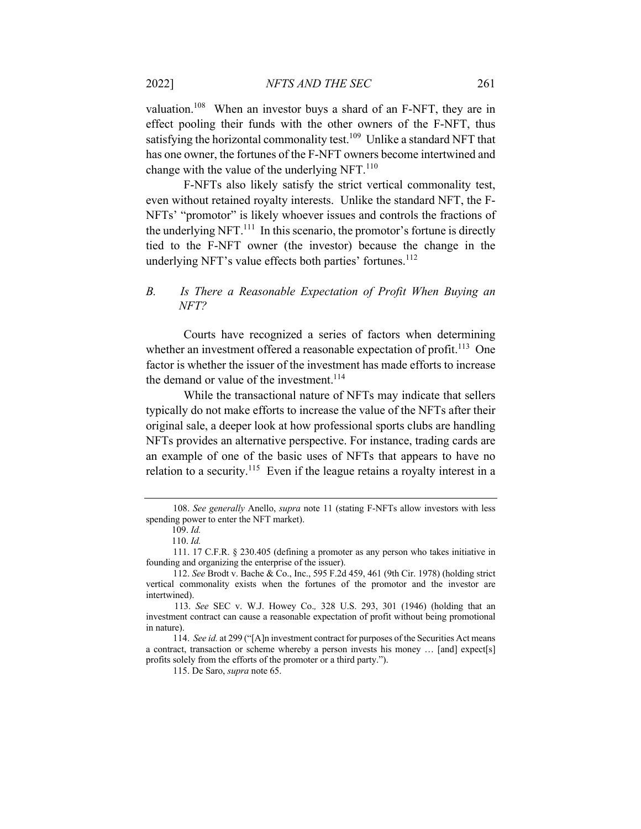valuation.<sup>108</sup> When an investor buys a shard of an F-NFT, they are in effect pooling their funds with the other owners of the F-NFT, thus satisfying the horizontal commonality test.<sup>109</sup> Unlike a standard NFT that has one owner, the fortunes of the F-NFT owners become intertwined and change with the value of the underlying NFT. $^{110}$ 

F-NFTs also likely satisfy the strict vertical commonality test, even without retained royalty interests. Unlike the standard NFT, the F-NFTs' "promotor" is likely whoever issues and controls the fractions of the underlying NFT. $^{111}$  In this scenario, the promotor's fortune is directly tied to the F-NFT owner (the investor) because the change in the underlying NFT's value effects both parties' fortunes.<sup>112</sup>

# *B. Is There a Reasonable Expectation of Profit When Buying an NFT?*

Courts have recognized a series of factors when determining whether an investment offered a reasonable expectation of profit.<sup>113</sup> One factor is whether the issuer of the investment has made efforts to increase the demand or value of the investment.<sup>114</sup>

While the transactional nature of NFTs may indicate that sellers typically do not make efforts to increase the value of the NFTs after their original sale, a deeper look at how professional sports clubs are handling NFTs provides an alternative perspective. For instance, trading cards are an example of one of the basic uses of NFTs that appears to have no relation to a security.<sup>115</sup> Even if the league retains a royalty interest in a

<sup>108.</sup> *See generally* Anello, *supra* note 11 (stating F-NFTs allow investors with less spending power to enter the NFT market).

 <sup>109.</sup> *Id.*

 <sup>110.</sup> *Id.*

<sup>111. 17</sup> C.F.R. § 230.405 (defining a promoter as any person who takes initiative in founding and organizing the enterprise of the issuer).

<sup>112.</sup> *See* Brodt v. Bache & Co., Inc., 595 F.2d 459, 461 (9th Cir. 1978) (holding strict vertical commonality exists when the fortunes of the promotor and the investor are intertwined).

 <sup>113.</sup> *See* SEC v. W.J. Howey Co.*,* 328 U.S. 293, 301 (1946) (holding that an investment contract can cause a reasonable expectation of profit without being promotional in nature).

<sup>114.</sup> *See id.* at 299 ("[A]n investment contract for purposes of the Securities Act means a contract, transaction or scheme whereby a person invests his money … [and] expect[s] profits solely from the efforts of the promoter or a third party.").

<sup>115.</sup> De Saro, *supra* note 65.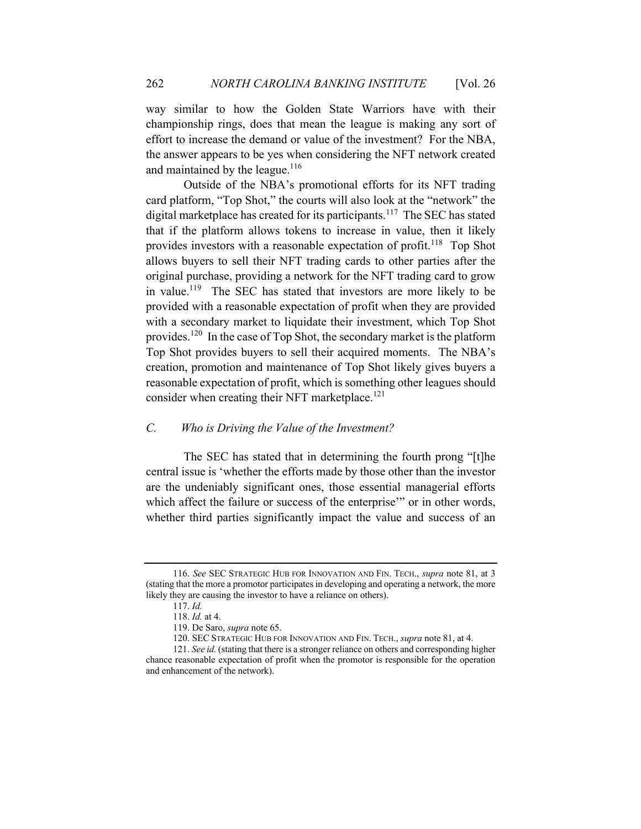way similar to how the Golden State Warriors have with their championship rings, does that mean the league is making any sort of effort to increase the demand or value of the investment? For the NBA, the answer appears to be yes when considering the NFT network created and maintained by the league. $116$ 

Outside of the NBA's promotional efforts for its NFT trading card platform, "Top Shot," the courts will also look at the "network" the digital marketplace has created for its participants.<sup>117</sup> The SEC has stated that if the platform allows tokens to increase in value, then it likely provides investors with a reasonable expectation of profit.<sup>118</sup> Top Shot allows buyers to sell their NFT trading cards to other parties after the original purchase, providing a network for the NFT trading card to grow in value.<sup>119</sup> The SEC has stated that investors are more likely to be provided with a reasonable expectation of profit when they are provided with a secondary market to liquidate their investment, which Top Shot provides.120 In the case of Top Shot, the secondary market is the platform Top Shot provides buyers to sell their acquired moments. The NBA's creation, promotion and maintenance of Top Shot likely gives buyers a reasonable expectation of profit, which is something other leagues should consider when creating their NFT marketplace.<sup>121</sup>

# *C. Who is Driving the Value of the Investment?*

The SEC has stated that in determining the fourth prong "[t]he central issue is 'whether the efforts made by those other than the investor are the undeniably significant ones, those essential managerial efforts which affect the failure or success of the enterprise'" or in other words, whether third parties significantly impact the value and success of an

<sup>116.</sup> *See* SEC STRATEGIC HUB FOR INNOVATION AND FIN. TECH., *supra* note 81, at 3 (stating that the more a promotor participates in developing and operating a network, the more likely they are causing the investor to have a reliance on others).

<sup>117.</sup> *Id.*

<sup>118.</sup> *Id.* at 4.

<sup>119.</sup> De Saro, *supra* note 65.

<sup>120.</sup> SEC STRATEGIC HUB FOR INNOVATION AND FIN. TECH., *supra* note 81, at 4.

<sup>121.</sup> *See id.* (stating that there is a stronger reliance on others and corresponding higher chance reasonable expectation of profit when the promotor is responsible for the operation and enhancement of the network).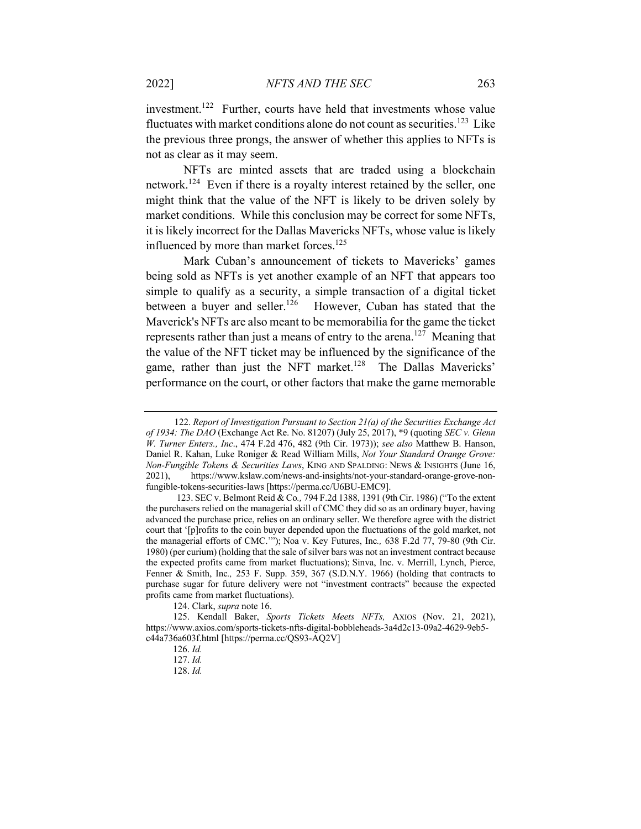investment.<sup>122</sup> Further, courts have held that investments whose value fluctuates with market conditions alone do not count as securities.<sup>123</sup> Like the previous three prongs, the answer of whether this applies to NFTs is not as clear as it may seem.

NFTs are minted assets that are traded using a blockchain network.<sup>124</sup> Even if there is a royalty interest retained by the seller, one might think that the value of the NFT is likely to be driven solely by market conditions. While this conclusion may be correct for some NFTs, it is likely incorrect for the Dallas Mavericks NFTs, whose value is likely influenced by more than market forces.<sup>125</sup>

Mark Cuban's announcement of tickets to Mavericks' games being sold as NFTs is yet another example of an NFT that appears too simple to qualify as a security, a simple transaction of a digital ticket between a buyer and seller.<sup>126</sup> However, Cuban has stated that the Maverick's NFTs are also meant to be memorabilia for the game the ticket represents rather than just a means of entry to the arena.<sup>127</sup> Meaning that the value of the NFT ticket may be influenced by the significance of the game, rather than just the NFT market.<sup>128</sup> The Dallas Mavericks' performance on the court, or other factors that make the game memorable

124. Clark, *supra* note 16.

 <sup>122.</sup> *Report of Investigation Pursuant to Section 21(a) of the Securities Exchange Act of 1934: The DAO* (Exchange Act Re. No. 81207) (July 25, 2017), \*9 (quoting *SEC v. Glenn W. Turner Enters., Inc*., 474 F.2d 476, 482 (9th Cir. 1973)); *see also* Matthew B. Hanson, Daniel R. Kahan, Luke Roniger & Read William Mills, *Not Your Standard Orange Grove: Non-Fungible Tokens & Securities Laws*, KING AND SPALDING: NEWS & INSIGHTS (June 16, 2021), https://www.kslaw.com/news-and-insights/not-your-standard-orange-grove-nonfungible-tokens-securities-laws [https://perma.cc/U6BU-EMC9].

 <sup>123.</sup> SEC v. Belmont Reid & Co*.,* 794 F.2d 1388, 1391 (9th Cir. 1986) ("To the extent the purchasers relied on the managerial skill of CMC they did so as an ordinary buyer, having advanced the purchase price, relies on an ordinary seller. We therefore agree with the district court that '[p]rofits to the coin buyer depended upon the fluctuations of the gold market, not the managerial efforts of CMC.'"); Noa v. Key Futures, Inc*.,* 638 F.2d 77, 79-80 (9th Cir. 1980) (per curium) (holding that the sale of silver bars was not an investment contract because the expected profits came from market fluctuations); Sinva, Inc. v. Merrill, Lynch, Pierce, Fenner & Smith, Inc*.,* 253 F. Supp. 359, 367 (S.D.N.Y. 1966) (holding that contracts to purchase sugar for future delivery were not "investment contracts" because the expected profits came from market fluctuations).

<sup>125.</sup> Kendall Baker, *Sports Tickets Meets NFTs,* AXIOS (Nov. 21, 2021), https://www.axios.com/sports-tickets-nfts-digital-bobbleheads-3a4d2c13-09a2-4629-9eb5 c44a736a603f.html [https://perma.cc/QS93-AQ2V]

<sup>126.</sup> *Id.*

<sup>127.</sup> *Id.*

<sup>128.</sup> *Id.*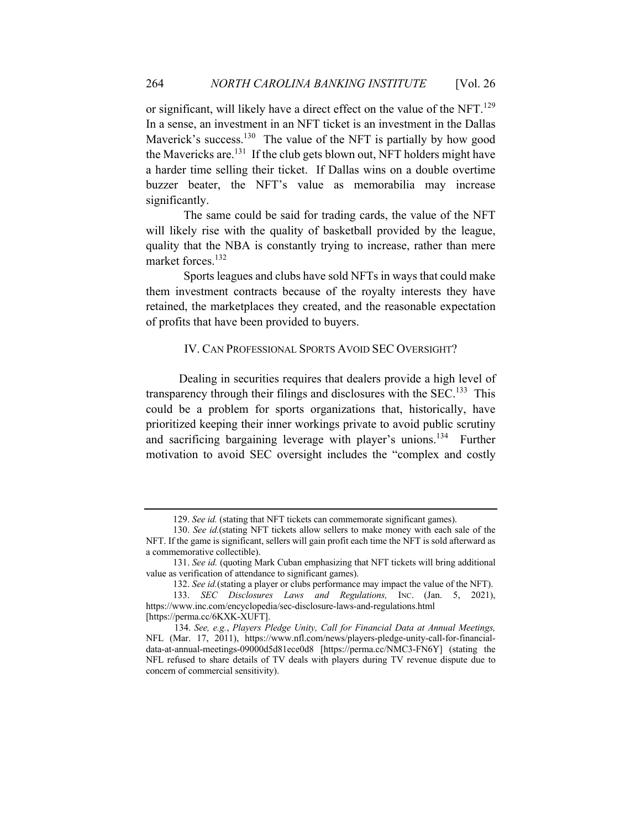or significant, will likely have a direct effect on the value of the NFT.<sup>129</sup> In a sense, an investment in an NFT ticket is an investment in the Dallas Maverick's success.<sup>130</sup> The value of the NFT is partially by how good the Mavericks are.131 If the club gets blown out, NFT holders might have a harder time selling their ticket. If Dallas wins on a double overtime buzzer beater, the NFT's value as memorabilia may increase significantly.

The same could be said for trading cards, the value of the NFT will likely rise with the quality of basketball provided by the league, quality that the NBA is constantly trying to increase, rather than mere market forces.<sup>132</sup>

Sports leagues and clubs have sold NFTs in ways that could make them investment contracts because of the royalty interests they have retained, the marketplaces they created, and the reasonable expectation of profits that have been provided to buyers.

## IV. CAN PROFESSIONAL SPORTS AVOID SEC OVERSIGHT?

 Dealing in securities requires that dealers provide a high level of transparency through their filings and disclosures with the SEC.<sup>133</sup> This could be a problem for sports organizations that, historically, have prioritized keeping their inner workings private to avoid public scrutiny and sacrificing bargaining leverage with player's unions.<sup>134</sup> Further motivation to avoid SEC oversight includes the "complex and costly

<sup>129.</sup> *See id.* (stating that NFT tickets can commemorate significant games).

<sup>130.</sup> *See id.*(stating NFT tickets allow sellers to make money with each sale of the NFT. If the game is significant, sellers will gain profit each time the NFT is sold afterward as a commemorative collectible).

<sup>131.</sup> *See id.* (quoting Mark Cuban emphasizing that NFT tickets will bring additional value as verification of attendance to significant games).

<sup>132.</sup> *See id.*(stating a player or clubs performance may impact the value of the NFT).

<sup>133.</sup> *SEC Disclosures Laws and Regulations,* INC. (Jan. 5, 2021), https://www.inc.com/encyclopedia/sec-disclosure-laws-and-regulations.html [https://perma.cc/6KXK-XUFT].

 <sup>134.</sup> *See, e.g.*, *Players Pledge Unity, Call for Financial Data at Annual Meetings,* NFL (Mar. 17, 2011), https://www.nfl.com/news/players-pledge-unity-call-for-financialdata-at-annual-meetings-09000d5d81ece0d8 [https://perma.cc/NMC3-FN6Y] (stating the NFL refused to share details of TV deals with players during TV revenue dispute due to concern of commercial sensitivity).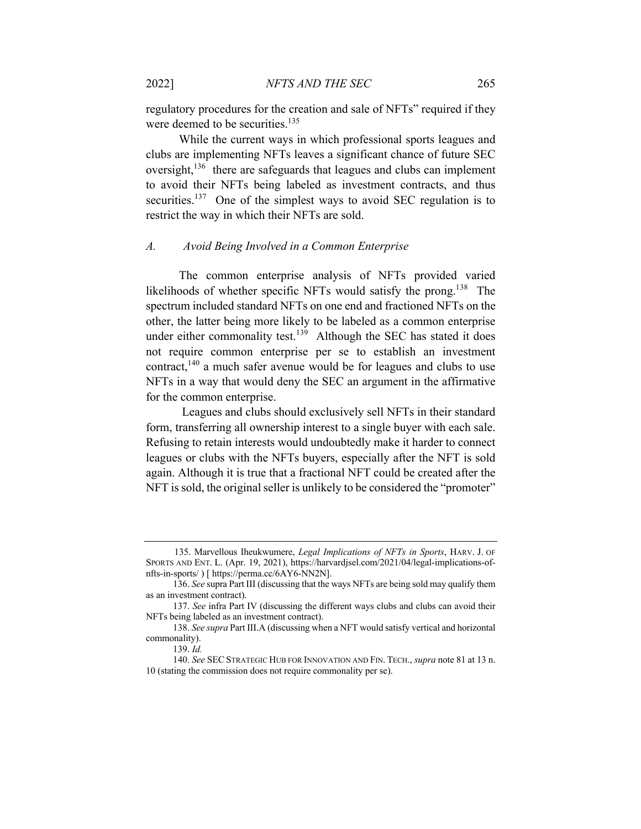regulatory procedures for the creation and sale of NFTs" required if they were deemed to be securities.<sup>135</sup>

 While the current ways in which professional sports leagues and clubs are implementing NFTs leaves a significant chance of future SEC oversight,<sup>136</sup> there are safeguards that leagues and clubs can implement to avoid their NFTs being labeled as investment contracts, and thus securities.<sup>137</sup> One of the simplest ways to avoid SEC regulation is to restrict the way in which their NFTs are sold.

#### *A. Avoid Being Involved in a Common Enterprise*

 The common enterprise analysis of NFTs provided varied likelihoods of whether specific NFTs would satisfy the prong.<sup>138</sup> The spectrum included standard NFTs on one end and fractioned NFTs on the other, the latter being more likely to be labeled as a common enterprise under either commonality test.<sup>139</sup> Although the SEC has stated it does not require common enterprise per se to establish an investment contract, $140$  a much safer avenue would be for leagues and clubs to use NFTs in a way that would deny the SEC an argument in the affirmative for the common enterprise.

 Leagues and clubs should exclusively sell NFTs in their standard form, transferring all ownership interest to a single buyer with each sale. Refusing to retain interests would undoubtedly make it harder to connect leagues or clubs with the NFTs buyers, especially after the NFT is sold again. Although it is true that a fractional NFT could be created after the NFT is sold, the original seller is unlikely to be considered the "promoter"

 <sup>135.</sup> Marvellous Iheukwumere, *Legal Implications of NFTs in Sports*, HARV. J. OF SPORTS AND ENT. L. (Apr. 19, 2021), https://harvardjsel.com/2021/04/legal-implications-ofnfts-in-sports/ ) [ https://perma.cc/6AY6-NN2N].

<sup>136.</sup> *See* supra Part III (discussing that the ways NFTs are being sold may qualify them as an investment contract).

<sup>137.</sup> *See* infra Part IV (discussing the different ways clubs and clubs can avoid their NFTs being labeled as an investment contract).

<sup>138.</sup> *See supra* Part III.A (discussing when a NFT would satisfy vertical and horizontal commonality).

<sup>139.</sup> *Id.*

<sup>140.</sup> *See* SECSTRATEGIC HUB FOR INNOVATION AND FIN. TECH., *supra* note 81 at 13 n. 10 (stating the commission does not require commonality per se).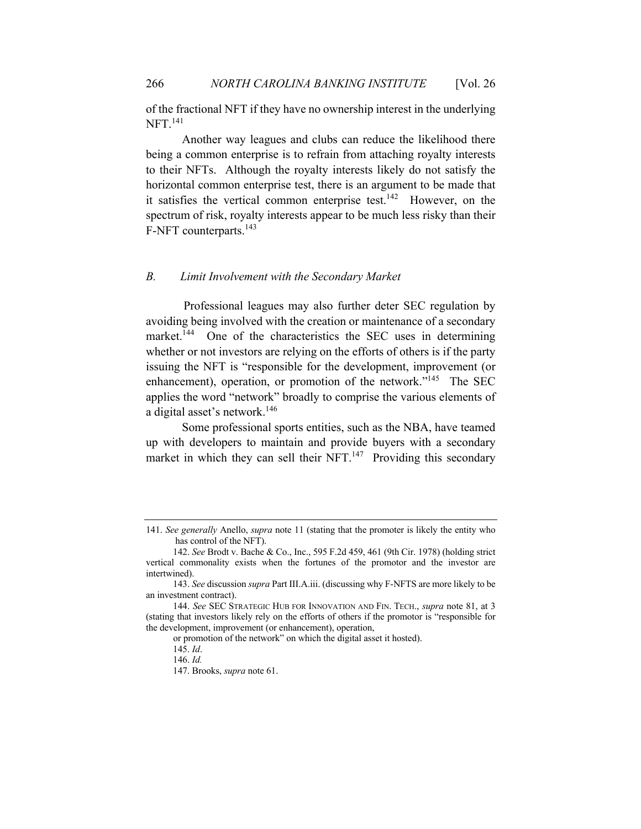of the fractional NFT if they have no ownership interest in the underlying NFT.<sup>141</sup>

 Another way leagues and clubs can reduce the likelihood there being a common enterprise is to refrain from attaching royalty interests to their NFTs. Although the royalty interests likely do not satisfy the horizontal common enterprise test, there is an argument to be made that it satisfies the vertical common enterprise test.<sup>142</sup> However, on the spectrum of risk, royalty interests appear to be much less risky than their F-NFT counterparts.<sup>143</sup>

## *B. Limit Involvement with the Secondary Market*

Professional leagues may also further deter SEC regulation by avoiding being involved with the creation or maintenance of a secondary market.<sup>144</sup> One of the characteristics the SEC uses in determining whether or not investors are relying on the efforts of others is if the party issuing the NFT is "responsible for the development, improvement (or enhancement), operation, or promotion of the network."<sup>145</sup> The SEC applies the word "network" broadly to comprise the various elements of a digital asset's network.<sup>146</sup>

 Some professional sports entities, such as the NBA, have teamed up with developers to maintain and provide buyers with a secondary market in which they can sell their NFT. $147$  Providing this secondary

<sup>141.</sup> *See generally* Anello, *supra* note 11 (stating that the promoter is likely the entity who has control of the NFT).

<sup>142.</sup> *See* Brodt v. Bache & Co., Inc., 595 F.2d 459, 461 (9th Cir. 1978) (holding strict vertical commonality exists when the fortunes of the promotor and the investor are intertwined).

<sup>143.</sup> *See* discussion *supra* Part III.A.iii. (discussing why F-NFTS are more likely to be an investment contract).

<sup>144.</sup> *See* SEC STRATEGIC HUB FOR INNOVATION AND FIN. TECH., *supra* note 81, at 3 (stating that investors likely rely on the efforts of others if the promotor is "responsible for the development, improvement (or enhancement), operation,

or promotion of the network" on which the digital asset it hosted).

<sup>145.</sup> *Id*.

<sup>146.</sup> *Id.*

<sup>147.</sup> Brooks, *supra* note 61.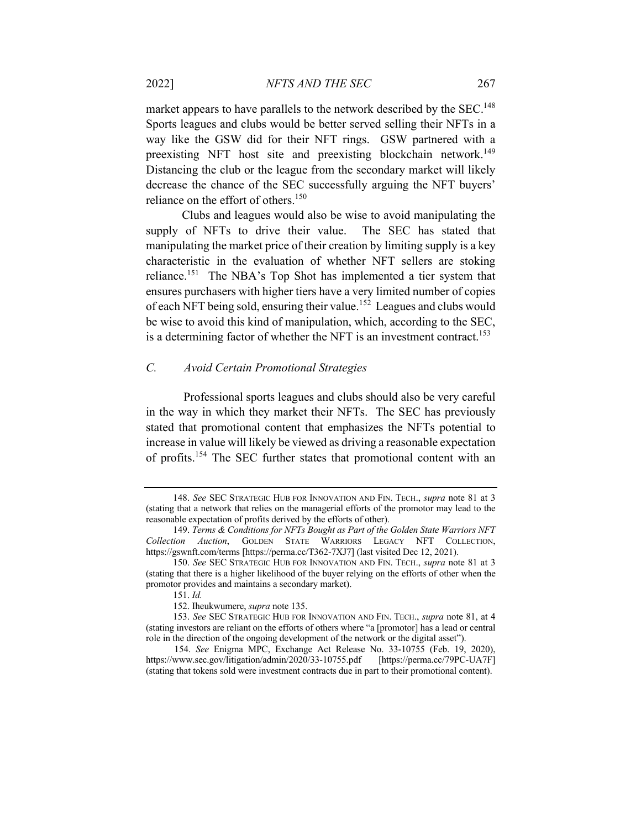market appears to have parallels to the network described by the SEC.<sup>148</sup> Sports leagues and clubs would be better served selling their NFTs in a way like the GSW did for their NFT rings. GSW partnered with a preexisting NFT host site and preexisting blockchain network.<sup>149</sup> Distancing the club or the league from the secondary market will likely decrease the chance of the SEC successfully arguing the NFT buyers' reliance on the effort of others.<sup>150</sup>

 Clubs and leagues would also be wise to avoid manipulating the supply of NFTs to drive their value. The SEC has stated that manipulating the market price of their creation by limiting supply is a key characteristic in the evaluation of whether NFT sellers are stoking reliance.<sup>151</sup> The NBA's Top Shot has implemented a tier system that ensures purchasers with higher tiers have a very limited number of copies of each NFT being sold, ensuring their value.152 Leagues and clubs would be wise to avoid this kind of manipulation, which, according to the SEC, is a determining factor of whether the NFT is an investment contract.<sup>153</sup>

#### *C. Avoid Certain Promotional Strategies*

Professional sports leagues and clubs should also be very careful in the way in which they market their NFTs. The SEC has previously stated that promotional content that emphasizes the NFTs potential to increase in value will likely be viewed as driving a reasonable expectation of profits.<sup>154</sup> The SEC further states that promotional content with an

<sup>148.</sup> *See* SEC STRATEGIC HUB FOR INNOVATION AND FIN. TECH., *supra* note 81 at 3 (stating that a network that relies on the managerial efforts of the promotor may lead to the reasonable expectation of profits derived by the efforts of other).

<sup>149.</sup> *Terms & Conditions for NFTs Bought as Part of the Golden State Warriors NFT Collection Auction*, GOLDEN STATE WARRIORS LEGACY NFT COLLECTION, https://gswnft.com/terms [https://perma.cc/T362-7XJ7] (last visited Dec 12, 2021).

<sup>150.</sup> *See* SEC STRATEGIC HUB FOR INNOVATION AND FIN. TECH., *supra* note 81 at 3 (stating that there is a higher likelihood of the buyer relying on the efforts of other when the promotor provides and maintains a secondary market).

<sup>151.</sup> *Id.*

<sup>152.</sup> Iheukwumere, *supra* note 135.

<sup>153.</sup> *See* SEC STRATEGIC HUB FOR INNOVATION AND FIN. TECH., *supra* note 81, at 4 (stating investors are reliant on the efforts of others where "a [promotor] has a lead or central role in the direction of the ongoing development of the network or the digital asset").

 <sup>154.</sup> *See* Enigma MPC, Exchange Act Release No. 33-10755 (Feb. 19, 2020), https://www.sec.gov/litigation/admin/2020/33-10755.pdf [https://perma.cc/79PC-UA7F] (stating that tokens sold were investment contracts due in part to their promotional content).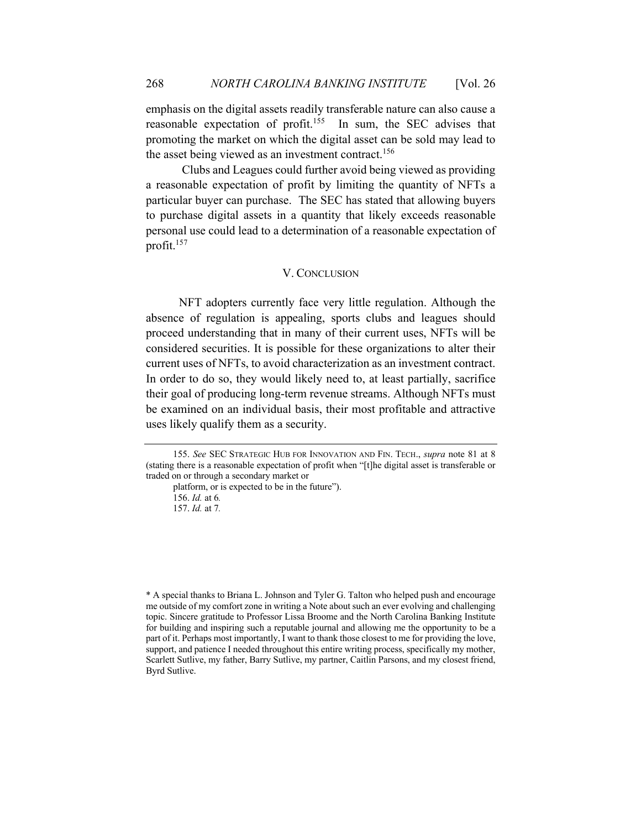emphasis on the digital assets readily transferable nature can also cause a reasonable expectation of profit.<sup>155</sup> In sum, the SEC advises that promoting the market on which the digital asset can be sold may lead to the asset being viewed as an investment contract.<sup>156</sup>

 Clubs and Leagues could further avoid being viewed as providing a reasonable expectation of profit by limiting the quantity of NFTs a particular buyer can purchase. The SEC has stated that allowing buyers to purchase digital assets in a quantity that likely exceeds reasonable personal use could lead to a determination of a reasonable expectation of profit.157

#### V. CONCLUSION

 NFT adopters currently face very little regulation. Although the absence of regulation is appealing, sports clubs and leagues should proceed understanding that in many of their current uses, NFTs will be considered securities. It is possible for these organizations to alter their current uses of NFTs, to avoid characterization as an investment contract. In order to do so, they would likely need to, at least partially, sacrifice their goal of producing long-term revenue streams. Although NFTs must be examined on an individual basis, their most profitable and attractive uses likely qualify them as a security.

<sup>155.</sup> *See* SEC STRATEGIC HUB FOR INNOVATION AND FIN. TECH., *supra* note 81 at 8 (stating there is a reasonable expectation of profit when "[t]he digital asset is transferable or traded on or through a secondary market or

platform, or is expected to be in the future").

<sup>156.</sup> *Id.* at 6*.*

<sup>157.</sup> *Id.* at 7*.*

<sup>\*</sup> A special thanks to Briana L. Johnson and Tyler G. Talton who helped push and encourage me outside of my comfort zone in writing a Note about such an ever evolving and challenging topic. Sincere gratitude to Professor Lissa Broome and the North Carolina Banking Institute for building and inspiring such a reputable journal and allowing me the opportunity to be a part of it. Perhaps most importantly, I want to thank those closest to me for providing the love, support, and patience I needed throughout this entire writing process, specifically my mother, Scarlett Sutlive, my father, Barry Sutlive, my partner, Caitlin Parsons, and my closest friend, Byrd Sutlive.